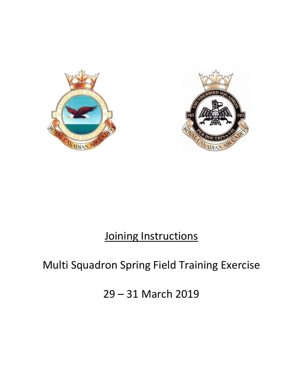



# Joining Instructions

## Multi Squadron Spring Field Training Exercise

29 – 31 March 2019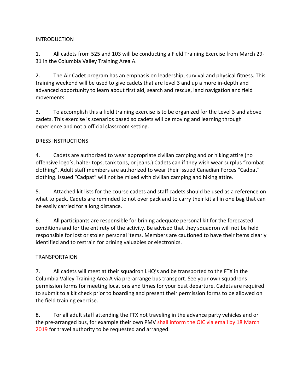#### INTRODUCTION

1. All cadets from 525 and 103 will be conducting a Field Training Exercise from March 29- 31 in the Columbia Valley Training Area A.

2. The Air Cadet program has an emphasis on leadership, survival and physical fitness. This training weekend will be used to give cadets that are level 3 and up a more in-depth and advanced opportunity to learn about first aid, search and rescue, land navigation and field movements.

3. To accomplish this a field training exercise is to be organized for the Level 3 and above cadets. This exercise is scenarios based so cadets will be moving and learning through experience and not a official classroom setting.

### DRESS INSTRUCTIONS

4. Cadets are authorized to wear appropriate civilian camping and or hiking attire (no offensive logo's, halter tops, tank tops, or jeans.) Cadets can if they wish wear surplus "combat clothing". Adult staff members are authorized to wear their issued Canadian Forces "Cadpat" clothing. Issued "Cadpat" will not be mixed with civilian camping and hiking attire.

5. Attached kit lists for the course cadets and staff cadets should be used as a reference on what to pack. Cadets are reminded to not over pack and to carry their kit all in one bag that can be easily carried for a long distance.

6. All participants are responsible for brining adequate personal kit for the forecasted conditions and for the entirety of the activity. Be advised that they squadron will not be held responsible for lost or stolen personal items. Members are cautioned to have their items clearly identified and to restrain for brining valuables or electronics.

## **TRANSPORTAION**

7. All cadets will meet at their squadron LHQ's and be transported to the FTX in the Columbia Valley Training Area A via pre-arrange bus transport. See your own squadrons permission forms for meeting locations and times for your bust departure. Cadets are required to submit to a kit check prior to boarding and present their permission forms to be allowed on the field training exercise.

8. For all adult staff attending the FTX not traveling in the advance party vehicles and or the pre-arranged bus, for example their own PMV shall inform the OIC via email by 18 March 2019 for travel authority to be requested and arranged.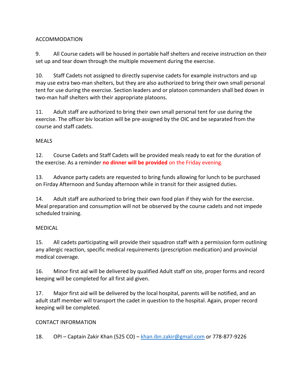## ACCOMMODATION

9. All Course cadets will be housed in portable half shelters and receive instruction on their set up and tear down through the multiple movement during the exercise.

10. Staff Cadets not assigned to directly supervise cadets for example instructors and up may use extra two-man shelters, but they are also authorized to bring their own small personal tent for use during the exercise. Section leaders and or platoon commanders shall bed down in two-man half shelters with their appropriate platoons.

11. Adult staff are authorized to bring their own small personal tent for use during the exercise. The officer biv location will be pre-assigned by the OIC and be separated from the course and staff cadets.

### MEALS

12. Course Cadets and Staff Cadets will be provided meals ready to eat for the duration of the exercise. As a reminder **no dinner will be provided** on the Friday evening.

13. Advance party cadets are requested to bring funds allowing for lunch to be purchased on Firday Afternoon and Sunday afternoon while in transit for their assigned duties.

14. Adult staff are authorized to bring their own food plan if they wish for the exercise. Meal preparation and consumption will not be observed by the course cadets and not impede scheduled training.

## MEDICAL

15. All cadets participating will provide their squadron staff with a permission form outlining any allergic reaction, specific medical requirements (prescription medication) and provincial medical coverage.

16. Minor first aid will be delivered by qualified Adult staff on site, proper forms and record keeping will be completed for all first aid given.

17. Major first aid will be delivered by the local hospital, parents will be notified, and an adult staff member will transport the cadet in question to the hospital. Again, proper record keeping will be completed.

#### CONTACT INFORMATION

18. OPI – Captain Zakir Khan (525 CO) – [khan.ibn.zakir@gmail.com](mailto:khan.ibn.zakir@gmail.com) or 778-877-9226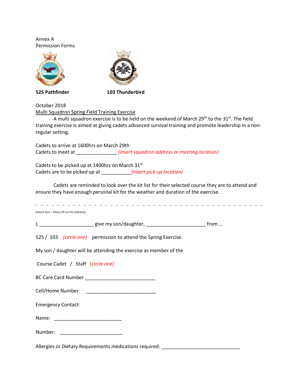Annex A Permission Forms



**525 Pathfinder 103 Thunderbird** 

October 2018

Multi Squadron Spring Field Training Exercise

A multi squadron exercise is to be held on the weekend of March 29<sup>th</sup> to the 31<sup>st</sup>. The field training exercise is aimed at giving cadets advanced survival training and promote leadership in a nonregular setting.

Cadets to arrive at 1600hrs on March 29th Cadets to meet at \_\_\_\_\_\_\_\_\_\_\_\_\_\_\_ *(insert squadron address or meeting location)*

Cadets to be picked up at 1400hrs on March 31st Cadets are to be picked up at \_\_\_\_\_\_\_\_\_\_\_*(insert pick up location)*

Cadets are reminded to look over the kit list for their selected course they are to attend and ensure they have enough personal kit for the weather and duration of the exercise.

- - - - - - - - - - - - - - - - - - - - - - - - - - - - - - - - - - - - - - - - - - -

*Detach here – Please fill out the following*

I, \_\_\_\_\_\_\_\_\_\_\_\_\_\_\_\_\_\_\_\_\_\_\_ give my son/daughter, \_\_\_\_\_\_\_\_\_\_\_\_\_\_\_\_\_\_\_\_\_\_\_\_\_\_\_\_\_\_\_\_ from …

525 / 103 *(circle one)* permission to attend the Spring Exercise.

My son / daughter will be attending the exercise as member of the

Course Cadet / Staff (*circle one)*

BC Care Card Number \_\_\_\_\_\_\_\_\_\_\_\_\_\_\_\_\_\_\_\_\_\_\_\_\_\_

Cell/Home Number \_\_\_\_\_\_\_\_\_\_\_\_\_\_\_\_\_\_\_\_\_\_\_\_\_\_

Emergency Contact:

Name: \_\_\_\_\_\_\_\_\_\_\_\_\_\_\_\_\_\_\_\_\_\_\_\_\_

Number: \_\_\_\_\_\_\_\_\_\_\_\_\_\_\_\_\_\_\_\_\_\_\_

Allergies or Dietary Requirements medications required: \_\_\_\_\_\_\_\_\_\_\_\_\_\_\_\_\_\_\_\_\_\_\_\_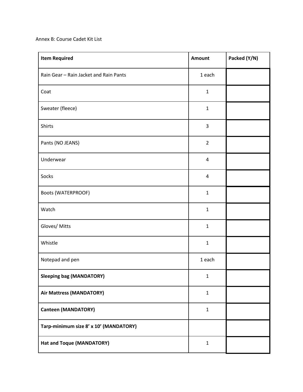Annex B: Course Cadet Kit List

| <b>Item Required</b>                   | <b>Amount</b>  | Packed (Y/N) |
|----------------------------------------|----------------|--------------|
| Rain Gear - Rain Jacket and Rain Pants | 1 each         |              |
| Coat                                   | $\mathbf{1}$   |              |
| Sweater (fleece)                       | $\mathbf{1}$   |              |
| Shirts                                 | $\mathsf{3}$   |              |
| Pants (NO JEANS)                       | $\overline{2}$ |              |
| Underwear                              | $\overline{4}$ |              |
| Socks                                  | $\pmb{4}$      |              |
| <b>Boots (WATERPROOF)</b>              | $\mathbf{1}$   |              |
| Watch                                  | $\mathbf{1}$   |              |
| Gloves/ Mitts                          | $\mathbf{1}$   |              |
| Whistle                                | $\mathbf{1}$   |              |
| Notepad and pen                        | 1 each         |              |
| <b>Sleeping bag (MANDATORY)</b>        | $\mathbf 1$    |              |
| Air Mattress (MANDATORY)               | $\mathbf{1}$   |              |
| <b>Canteen (MANDATORY)</b>             | $\mathbf{1}$   |              |
| Tarp-minimum size 8' x 10' (MANDATORY) |                |              |
| Hat and Toque (MANDATORY)              | $\mathbf{1}$   |              |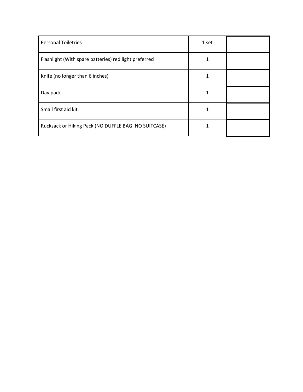| <b>Personal Toiletries</b>                            | 1 set       |  |
|-------------------------------------------------------|-------------|--|
| Flashlight (With spare batteries) red light preferred | 1           |  |
| Knife (no longer than 6 inches)                       | 1           |  |
| Day pack                                              | $\mathbf 1$ |  |
| Small first aid kit                                   | 1           |  |
| Rucksack or Hiking Pack (NO DUFFLE BAG, NO SUITCASE)  | 1           |  |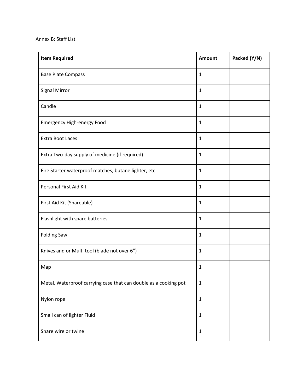| <b>Item Required</b>                                             | <b>Amount</b> | Packed (Y/N) |
|------------------------------------------------------------------|---------------|--------------|
| <b>Base Plate Compass</b>                                        | $\mathbf{1}$  |              |
| <b>Signal Mirror</b>                                             | $\mathbf{1}$  |              |
| Candle                                                           | $\mathbf{1}$  |              |
| <b>Emergency High-energy Food</b>                                | $\mathbf{1}$  |              |
| <b>Extra Boot Laces</b>                                          | $\mathbf{1}$  |              |
| Extra Two-day supply of medicine (if required)                   | $\mathbf{1}$  |              |
| Fire Starter waterproof matches, butane lighter, etc             | $\mathbf{1}$  |              |
| Personal First Aid Kit                                           | $\mathbf{1}$  |              |
| First Aid Kit (Shareable)                                        | $\mathbf{1}$  |              |
| Flashlight with spare batteries                                  | $\mathbf{1}$  |              |
| <b>Folding Saw</b>                                               | $\mathbf{1}$  |              |
| Knives and or Multi tool (blade not over 6")                     | $\mathbf{1}$  |              |
| Map                                                              | $\mathbf{1}$  |              |
| Metal, Waterproof carrying case that can double as a cooking pot | $\mathbf{1}$  |              |
| Nylon rope                                                       | $\mathbf 1$   |              |
| Small can of lighter Fluid                                       | $\mathbf 1$   |              |
| Snare wire or twine                                              | $\mathbf{1}$  |              |